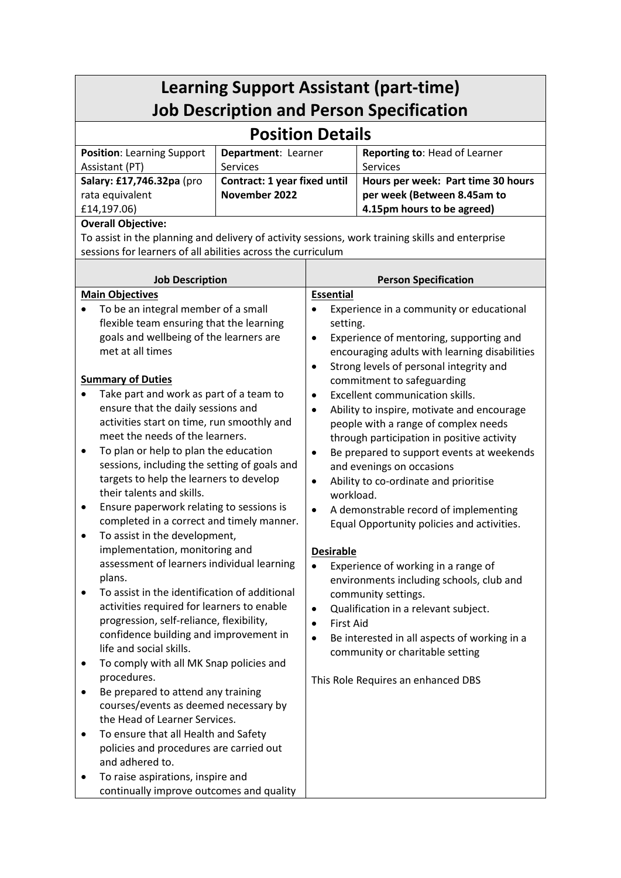| <b>Learning Support Assistant (part-time)</b><br><b>Job Description and Person Specification</b>                                                                                                                                                                                                                                                                                                                                                                                                                                                                                                                                                                                                                                                                                                                                                                                                                                                                                                                                                                                                                                                                                                       |                                                                  |                                                                                                                                                                                                                                                                                                                                                                                                                                                                                                                                                                                                                                                                                                                                                                                                                                                                                                                                                                                                                                                                                                  |                                                                                                 |  |  |  |
|--------------------------------------------------------------------------------------------------------------------------------------------------------------------------------------------------------------------------------------------------------------------------------------------------------------------------------------------------------------------------------------------------------------------------------------------------------------------------------------------------------------------------------------------------------------------------------------------------------------------------------------------------------------------------------------------------------------------------------------------------------------------------------------------------------------------------------------------------------------------------------------------------------------------------------------------------------------------------------------------------------------------------------------------------------------------------------------------------------------------------------------------------------------------------------------------------------|------------------------------------------------------------------|--------------------------------------------------------------------------------------------------------------------------------------------------------------------------------------------------------------------------------------------------------------------------------------------------------------------------------------------------------------------------------------------------------------------------------------------------------------------------------------------------------------------------------------------------------------------------------------------------------------------------------------------------------------------------------------------------------------------------------------------------------------------------------------------------------------------------------------------------------------------------------------------------------------------------------------------------------------------------------------------------------------------------------------------------------------------------------------------------|-------------------------------------------------------------------------------------------------|--|--|--|
| <b>Position Details</b>                                                                                                                                                                                                                                                                                                                                                                                                                                                                                                                                                                                                                                                                                                                                                                                                                                                                                                                                                                                                                                                                                                                                                                                |                                                                  |                                                                                                                                                                                                                                                                                                                                                                                                                                                                                                                                                                                                                                                                                                                                                                                                                                                                                                                                                                                                                                                                                                  |                                                                                                 |  |  |  |
| <b>Position: Learning Support</b>                                                                                                                                                                                                                                                                                                                                                                                                                                                                                                                                                                                                                                                                                                                                                                                                                                                                                                                                                                                                                                                                                                                                                                      | Department: Learner                                              |                                                                                                                                                                                                                                                                                                                                                                                                                                                                                                                                                                                                                                                                                                                                                                                                                                                                                                                                                                                                                                                                                                  | Reporting to: Head of Learner<br>Services                                                       |  |  |  |
| Assistant (PT)<br>Salary: £17,746.32pa (pro<br>rata equivalent<br>£14,197.06)                                                                                                                                                                                                                                                                                                                                                                                                                                                                                                                                                                                                                                                                                                                                                                                                                                                                                                                                                                                                                                                                                                                          | <b>Services</b><br>Contract: 1 year fixed until<br>November 2022 |                                                                                                                                                                                                                                                                                                                                                                                                                                                                                                                                                                                                                                                                                                                                                                                                                                                                                                                                                                                                                                                                                                  | Hours per week: Part time 30 hours<br>per week (Between 8.45am to<br>4.15pm hours to be agreed) |  |  |  |
| <b>Overall Objective:</b><br>To assist in the planning and delivery of activity sessions, work training skills and enterprise<br>sessions for learners of all abilities across the curriculum                                                                                                                                                                                                                                                                                                                                                                                                                                                                                                                                                                                                                                                                                                                                                                                                                                                                                                                                                                                                          |                                                                  |                                                                                                                                                                                                                                                                                                                                                                                                                                                                                                                                                                                                                                                                                                                                                                                                                                                                                                                                                                                                                                                                                                  |                                                                                                 |  |  |  |
|                                                                                                                                                                                                                                                                                                                                                                                                                                                                                                                                                                                                                                                                                                                                                                                                                                                                                                                                                                                                                                                                                                                                                                                                        |                                                                  | <b>Person Specification</b>                                                                                                                                                                                                                                                                                                                                                                                                                                                                                                                                                                                                                                                                                                                                                                                                                                                                                                                                                                                                                                                                      |                                                                                                 |  |  |  |
| <b>Job Description</b><br><b>Main Objectives</b><br>To be an integral member of a small<br>flexible team ensuring that the learning<br>goals and wellbeing of the learners are<br>met at all times<br><b>Summary of Duties</b><br>Take part and work as part of a team to<br>ensure that the daily sessions and<br>activities start on time, run smoothly and<br>meet the needs of the learners.<br>To plan or help to plan the education<br>٠<br>sessions, including the setting of goals and<br>targets to help the learners to develop<br>their talents and skills.<br>Ensure paperwork relating to sessions is<br>$\bullet$<br>completed in a correct and timely manner.<br>To assist in the development,<br>implementation, monitoring and<br>assessment of learners individual learning<br>plans.<br>To assist in the identification of additional<br>activities required for learners to enable<br>progression, self-reliance, flexibility,<br>confidence building and improvement in<br>life and social skills.<br>To comply with all MK Snap policies and<br>٠<br>procedures.<br>Be prepared to attend any training<br>courses/events as deemed necessary by<br>the Head of Learner Services. |                                                                  | <b>Essential</b><br>Experience in a community or educational<br>setting.<br>Experience of mentoring, supporting and<br>$\bullet$<br>encouraging adults with learning disabilities<br>Strong levels of personal integrity and<br>$\bullet$<br>commitment to safeguarding<br>Excellent communication skills.<br>$\bullet$<br>Ability to inspire, motivate and encourage<br>$\bullet$<br>people with a range of complex needs<br>through participation in positive activity<br>Be prepared to support events at weekends<br>$\bullet$<br>and evenings on occasions<br>Ability to co-ordinate and prioritise<br>$\bullet$<br>workload.<br>A demonstrable record of implementing<br>$\bullet$<br>Equal Opportunity policies and activities.<br><b>Desirable</b><br>Experience of working in a range of<br>environments including schools, club and<br>community settings.<br>Qualification in a relevant subject.<br>$\bullet$<br><b>First Aid</b><br>$\bullet$<br>Be interested in all aspects of working in a<br>$\bullet$<br>community or charitable setting<br>This Role Requires an enhanced DBS |                                                                                                 |  |  |  |
| To ensure that all Health and Safety<br>policies and procedures are carried out<br>and adhered to.<br>To raise aspirations, inspire and<br>٠<br>continually improve outcomes and quality                                                                                                                                                                                                                                                                                                                                                                                                                                                                                                                                                                                                                                                                                                                                                                                                                                                                                                                                                                                                               |                                                                  |                                                                                                                                                                                                                                                                                                                                                                                                                                                                                                                                                                                                                                                                                                                                                                                                                                                                                                                                                                                                                                                                                                  |                                                                                                 |  |  |  |